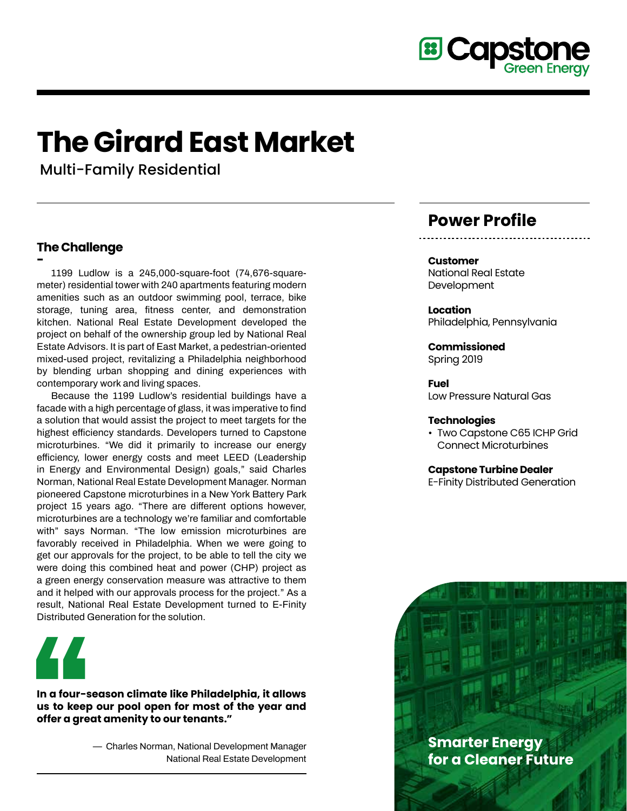

# **The Girard East Market**

Multi-Family Residential

## **The Challenge**

**- 1199 Ludlow is a 245,000-square-foot (74,676-squaremeter) residential tower with 240 apartments featuring modern amenities such as an outdoor swimming pool, terrace, bike storage, tuning area, fitness center, and demonstration kitchen. National Real Estate Development developed the project on behalf of the ownership group led by National Real Estate Advisors. It is part of East Market, a pedestrian-oriented mixed-used project, revitalizing a Philadelphia neighborhood by blending urban shopping and dining experiences with contemporary work and living spaces.** 

**Because the 1199 Ludlow's residential buildings have a facade with a high percentage of glass, it was imperative to find a solution that would assist the project to meet targets for the highest efficiency standards. Developers turned to Capstone microturbines. "We did it primarily to increase our energy efficiency, lower energy costs and meet LEED (Leadership in Energy and Environmental Design) goals," said Charles Norman, National Real Estate Development Manager. Norman pioneered Capstone microturbines in a New York Battery Park project 15 years ago. "There are different options however, microturbines are a technology we're familiar and comfortable with" says Norman. "The low emission microturbines are favorably received in Philadelphia. When we were going to get our approvals for the project, to be able to tell the city we were doing this combined heat and power (CHP) project as a green energy conservation measure was attractive to them and it helped with our approvals process for the project." As a result, National Real Estate Development turned to E-Finity Distributed Generation for the solution.**



**In a four-season climate like Philadelphia, it allows us to keep our pool open for most of the year and offer a great amenity to our tenants."**

> **— Charles Norman, National Development Manager National Real Estate Development**

## **Power Profile**

#### **Customer**

National Real Estate Development

**Location** Philadelphia, Pennsylvania

**Commissioned** Spring 2019

**Fuel** Low Pressure Natural Gas

#### **Technologies**

• Two Capstone C65 ICHP Grid Connect Microturbines

#### **Capstone Turbine Dealer**

E-Finity Distributed Generation

**Smarter Energy for a Cleaner Future**